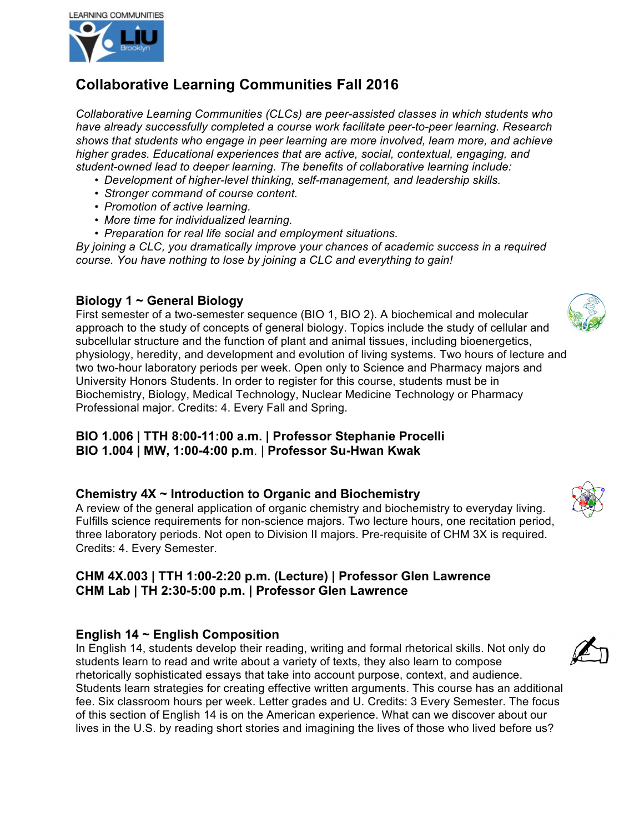

# **Collaborative Learning Communities Fall 2016**

*Collaborative Learning Communities (CLCs) are peer-assisted classes in which students who have already successfully completed a course work facilitate peer-to-peer learning. Research shows that students who engage in peer learning are more involved, learn more, and achieve higher grades. Educational experiences that are active, social, contextual, engaging, and student-owned lead to deeper learning. The benefits of collaborative learning include:*

- *Development of higher-level thinking, self-management, and leadership skills.*
- *Stronger command of course content.*
- *Promotion of active learning.*
- *More time for individualized learning.*
- *Preparation for real life social and employment situations.*

*By joining a CLC, you dramatically improve your chances of academic success in a required course. You have nothing to lose by joining a CLC and everything to gain!*

### **Biology 1 ~ General Biology**

First semester of a two-semester sequence (BIO 1, BIO 2). A biochemical and molecular approach to the study of concepts of general biology. Topics include the study of cellular and subcellular structure and the function of plant and animal tissues, including bioenergetics, physiology, heredity, and development and evolution of living systems. Two hours of lecture and two two-hour laboratory periods per week. Open only to Science and Pharmacy majors and University Honors Students. In order to register for this course, students must be in Biochemistry, Biology, Medical Technology, Nuclear Medicine Technology or Pharmacy Professional major. Credits: 4. Every Fall and Spring.

**BIO 1.006 | TTH 8:00-11:00 a.m. | Professor Stephanie Procelli BIO 1.004 | MW, 1:00-4:00 p.m**. | **Professor Su-Hwan Kwak**

# **Chemistry 4X ~ Introduction to Organic and Biochemistry**

A review of the general application of organic chemistry and biochemistry to everyday living. Fulfills science requirements for non-science majors. Two lecture hours, one recitation period, three laboratory periods. Not open to Division II majors. Pre-requisite of CHM 3X is required. Credits: 4. Every Semester.

# **CHM 4X.003 | TTH 1:00-2:20 p.m. (Lecture) | Professor Glen Lawrence CHM Lab | TH 2:30-5:00 p.m. | Professor Glen Lawrence**

# **English 14 ~ English Composition**

In English 14, students develop their reading, writing and formal rhetorical skills. Not only do students learn to read and write about a variety of texts, they also learn to compose rhetorically sophisticated essays that take into account purpose, context, and audience. Students learn strategies for creating effective written arguments. This course has an additional fee. Six classroom hours per week. Letter grades and U. Credits: 3 Every Semester. The focus of this section of English 14 is on the American experience. What can we discover about our lives in the U.S. by reading short stories and imagining the lives of those who lived before us?